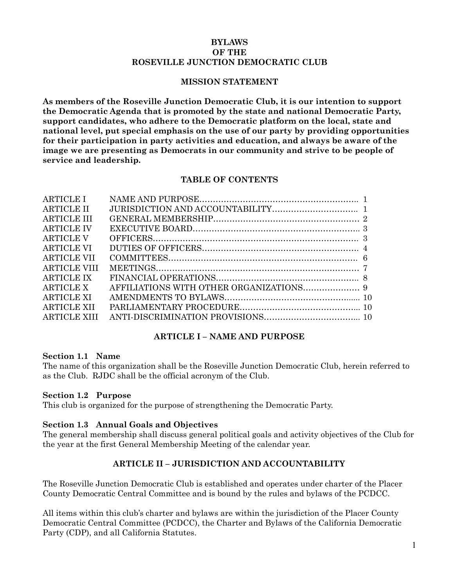#### **BYLAWS OF THE ROSEVILLE JUNCTION DEMOCRATIC CLUB**

#### **MISSION STATEMENT**

**As members of the Roseville Junction Democratic Club, it is our intention to support the Democratic Agenda that is promoted by the state and national Democratic Party, support candidates, who adhere to the Democratic platform on the local, state and national level, put special emphasis on the use of our party by providing opportunities for their participation in party activities and education, and always be aware of the image we are presenting as Democrats in our community and strive to be people of service and leadership.**

#### **TABLE OF CONTENTS**

| ARTICLE I         |  |
|-------------------|--|
| <b>ARTICLE II</b> |  |
| ARTICLE III       |  |
| ARTICLE IV        |  |
| <b>ARTICLE V</b>  |  |
| ARTICLE VI        |  |
| ARTICLE VII       |  |
| ARTICLE VIII      |  |
| ARTICLE IX        |  |
| ARTICLE X         |  |
| ARTICLE XI        |  |
| ARTICLE XII       |  |
| ARTICLE XIII      |  |
|                   |  |

#### **ARTICLE I – NAME AND PURPOSE**

#### **Section 1.1 Name**

The name of this organization shall be the Roseville Junction Democratic Club, herein referred to as the Club. RJDC shall be the official acronym of the Club.

#### **Section 1.2 Purpose**

This club is organized for the purpose of strengthening the Democratic Party.

#### **Section 1.3 Annual Goals and Objectives**

The general membership shall discuss general political goals and activity objectives of the Club for the year at the first General Membership Meeting of the calendar year.

#### **ARTICLE II – JURISDICTION AND ACCOUNTABILITY**

The Roseville Junction Democratic Club is established and operates under charter of the Placer County Democratic Central Committee and is bound by the rules and bylaws of the PCDCC.

All items within this club's charter and bylaws are within the jurisdiction of the Placer County Democratic Central Committee (PCDCC), the Charter and Bylaws of the California Democratic Party (CDP), and all California Statutes.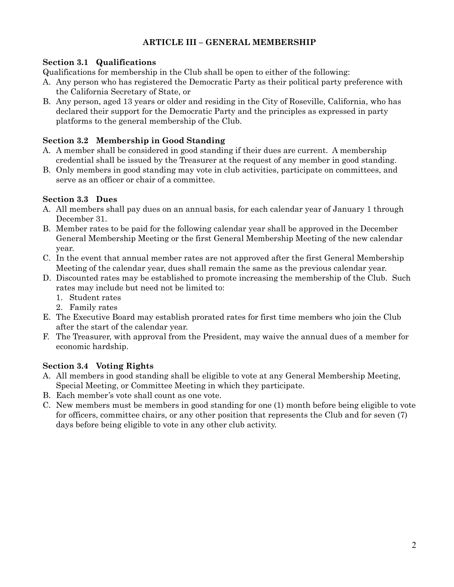# **ARTICLE III – GENERAL MEMBERSHIP**

### **Section 3.1 Qualifications**

Qualifications for membership in the Club shall be open to either of the following:

- A. Any person who has registered the Democratic Party as their political party preference with the California Secretary of State, or
- B. Any person, aged 13 years or older and residing in the City of Roseville, California, who has declared their support for the Democratic Party and the principles as expressed in party platforms to the general membership of the Club.

# **Section 3.2 Membership in Good Standing**

- A. A member shall be considered in good standing if their dues are current. A membership credential shall be issued by the Treasurer at the request of any member in good standing.
- B. Only members in good standing may vote in club activities, participate on committees, and serve as an officer or chair of a committee.

## **Section 3.3 Dues**

- A. All members shall pay dues on an annual basis, for each calendar year of January 1 through December 31.
- B. Member rates to be paid for the following calendar year shall be approved in the December General Membership Meeting or the first General Membership Meeting of the new calendar year.
- C. In the event that annual member rates are not approved after the first General Membership Meeting of the calendar year, dues shall remain the same as the previous calendar year.
- D. Discounted rates may be established to promote increasing the membership of the Club. Such rates may include but need not be limited to:
	- 1. Student rates
	- 2. Family rates
- E. The Executive Board may establish prorated rates for first time members who join the Club after the start of the calendar year.
- F. The Treasurer, with approval from the President, may waive the annual dues of a member for economic hardship.

## **Section 3.4 Voting Rights**

- A. All members in good standing shall be eligible to vote at any General Membership Meeting, Special Meeting, or Committee Meeting in which they participate.
- B. Each member's vote shall count as one vote.
- C. New members must be members in good standing for one (1) month before being eligible to vote for officers, committee chairs, or any other position that represents the Club and for seven (7) days before being eligible to vote in any other club activity.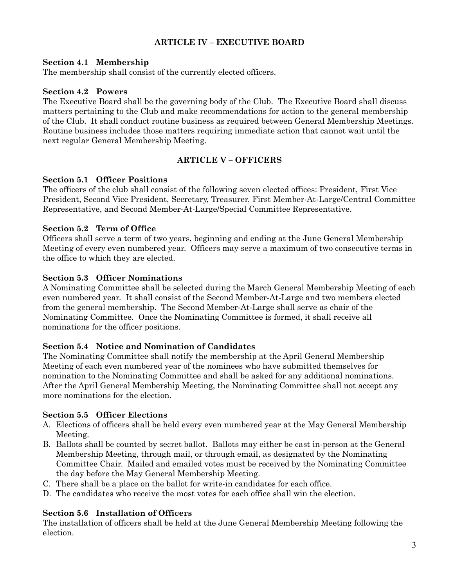# **ARTICLE IV – EXECUTIVE BOARD**

### **Section 4.1 Membership**

The membership shall consist of the currently elected officers.

#### **Section 4.2 Powers**

The Executive Board shall be the governing body of the Club. The Executive Board shall discuss matters pertaining to the Club and make recommendations for action to the general membership of the Club. It shall conduct routine business as required between General Membership Meetings. Routine business includes those matters requiring immediate action that cannot wait until the next regular General Membership Meeting.

# **ARTICLE V – OFFICERS**

#### **Section 5.1 Officer Positions**

The officers of the club shall consist of the following seven elected offices: President, First Vice President, Second Vice President, Secretary, Treasurer, First Member-At-Large/Central Committee Representative, and Second Member-At-Large/Special Committee Representative.

#### **Section 5.2 Term of Office**

Officers shall serve a term of two years, beginning and ending at the June General Membership Meeting of every even numbered year. Officers may serve a maximum of two consecutive terms in the office to which they are elected.

#### **Section 5.3 Officer Nominations**

A Nominating Committee shall be selected during the March General Membership Meeting of each even numbered year. It shall consist of the Second Member-At-Large and two members elected from the general membership. The Second Member-At-Large shall serve as chair of the Nominating Committee. Once the Nominating Committee is formed, it shall receive all nominations for the officer positions.

#### **Section 5.4 Notice and Nomination of Candidates**

The Nominating Committee shall notify the membership at the April General Membership Meeting of each even numbered year of the nominees who have submitted themselves for nomination to the Nominating Committee and shall be asked for any additional nominations. After the April General Membership Meeting, the Nominating Committee shall not accept any more nominations for the election.

#### **Section 5.5 Officer Elections**

- A. Elections of officers shall be held every even numbered year at the May General Membership Meeting.
- B. Ballots shall be counted by secret ballot. Ballots may either be cast in-person at the General Membership Meeting, through mail, or through email, as designated by the Nominating Committee Chair. Mailed and emailed votes must be received by the Nominating Committee the day before the May General Membership Meeting.
- C. There shall be a place on the ballot for write-in candidates for each office.
- D. The candidates who receive the most votes for each office shall win the election.

## **Section 5.6 Installation of Officers**

The installation of officers shall be held at the June General Membership Meeting following the election.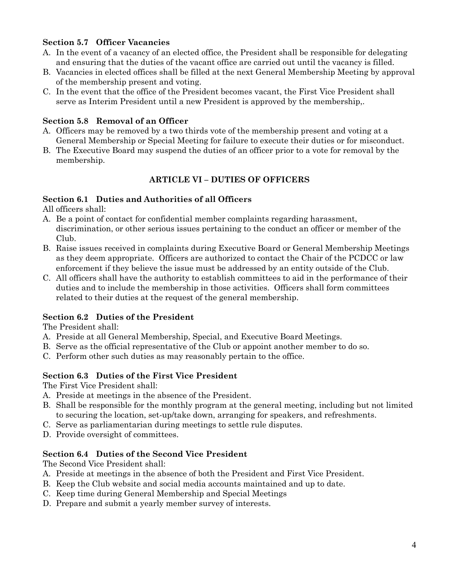## **Section 5.7 Officer Vacancies**

- A. In the event of a vacancy of an elected office, the President shall be responsible for delegating and ensuring that the duties of the vacant office are carried out until the vacancy is filled.
- B. Vacancies in elected offices shall be filled at the next General Membership Meeting by approval of the membership present and voting.
- C. In the event that the office of the President becomes vacant, the First Vice President shall serve as Interim President until a new President is approved by the membership,.

### **Section 5.8 Removal of an Officer**

- A. Officers may be removed by a two thirds vote of the membership present and voting at a General Membership or Special Meeting for failure to execute their duties or for misconduct.
- B. The Executive Board may suspend the duties of an officer prior to a vote for removal by the membership.

## **ARTICLE VI – DUTIES OF OFFICERS**

### **Section 6.1 Duties and Authorities of all Officers**

All officers shall:

- A. Be a point of contact for confidential member complaints regarding harassment, discrimination, or other serious issues pertaining to the conduct an officer or member of the Club.
- B. Raise issues received in complaints during Executive Board or General Membership Meetings as they deem appropriate. Officers are authorized to contact the Chair of the PCDCC or law enforcement if they believe the issue must be addressed by an entity outside of the Club.
- C. All officers shall have the authority to establish committees to aid in the performance of their duties and to include the membership in those activities. Officers shall form committees related to their duties at the request of the general membership.

## **Section 6.2 Duties of the President**

The President shall:

- A. Preside at all General Membership, Special, and Executive Board Meetings.
- B. Serve as the official representative of the Club or appoint another member to do so.
- C. Perform other such duties as may reasonably pertain to the office.

## **Section 6.3 Duties of the First Vice President**

The First Vice President shall:

- A. Preside at meetings in the absence of the President.
- B. Shall be responsible for the monthly program at the general meeting, including but not limited to securing the location, set-up/take down, arranging for speakers, and refreshments.
- C. Serve as parliamentarian during meetings to settle rule disputes.
- D. Provide oversight of committees.

## **Section 6.4 Duties of the Second Vice President**

The Second Vice President shall:

- A. Preside at meetings in the absence of both the President and First Vice President.
- B. Keep the Club website and social media accounts maintained and up to date.
- C. Keep time during General Membership and Special Meetings
- D. Prepare and submit a yearly member survey of interests.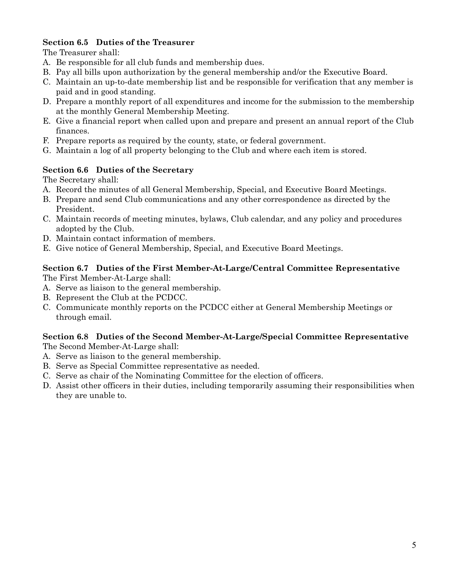## **Section 6.5 Duties of the Treasurer**

The Treasurer shall:

- A. Be responsible for all club funds and membership dues.
- B. Pay all bills upon authorization by the general membership and/or the Executive Board.
- C. Maintain an up-to-date membership list and be responsible for verification that any member is paid and in good standing.
- D. Prepare a monthly report of all expenditures and income for the submission to the membership at the monthly General Membership Meeting.
- E. Give a financial report when called upon and prepare and present an annual report of the Club finances.
- F. Prepare reports as required by the county, state, or federal government.
- G. Maintain a log of all property belonging to the Club and where each item is stored.

## **Section 6.6 Duties of the Secretary**

The Secretary shall:

- A. Record the minutes of all General Membership, Special, and Executive Board Meetings.
- B. Prepare and send Club communications and any other correspondence as directed by the President.
- C. Maintain records of meeting minutes, bylaws, Club calendar, and any policy and procedures adopted by the Club.
- D. Maintain contact information of members.
- E. Give notice of General Membership, Special, and Executive Board Meetings.

#### **Section 6.7 Duties of the First Member-At-Large/Central Committee Representative** The First Member-At-Large shall:

A. Serve as liaison to the general membership.

- B. Represent the Club at the PCDCC.
- C. Communicate monthly reports on the PCDCC either at General Membership Meetings or through email.

#### **Section 6.8 Duties of the Second Member-At-Large/Special Committee Representative** The Second Member-At-Large shall:

- A. Serve as liaison to the general membership.
- B. Serve as Special Committee representative as needed.
- C. Serve as chair of the Nominating Committee for the election of officers.
- D. Assist other officers in their duties, including temporarily assuming their responsibilities when they are unable to.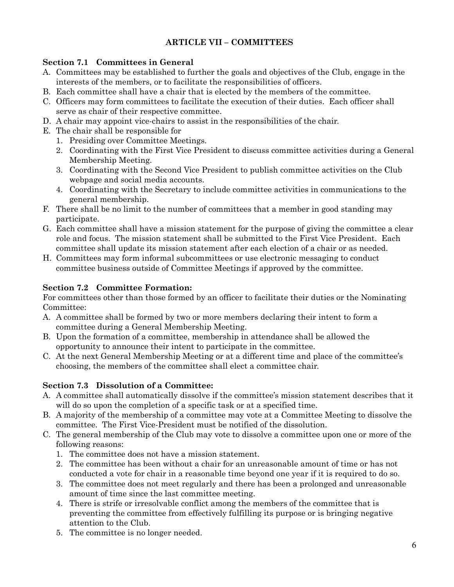# **ARTICLE VII – COMMITTEES**

# **Section 7.1 Committees in General**

- A. Committees may be established to further the goals and objectives of the Club, engage in the interests of the members, or to facilitate the responsibilities of officers.
- B. Each committee shall have a chair that is elected by the members of the committee.
- C. Officers may form committees to facilitate the execution of their duties. Each officer shall serve as chair of their respective committee.
- D. A chair may appoint vice-chairs to assist in the responsibilities of the chair.
- E. The chair shall be responsible for
	- 1. Presiding over Committee Meetings.
	- 2. Coordinating with the First Vice President to discuss committee activities during a General Membership Meeting.
	- 3. Coordinating with the Second Vice President to publish committee activities on the Club webpage and social media accounts.
	- 4. Coordinating with the Secretary to include committee activities in communications to the general membership.
- F. There shall be no limit to the number of committees that a member in good standing may participate.
- G. Each committee shall have a mission statement for the purpose of giving the committee a clear role and focus. The mission statement shall be submitted to the First Vice President. Each committee shall update its mission statement after each election of a chair or as needed.
- H. Committees may form informal subcommittees or use electronic messaging to conduct committee business outside of Committee Meetings if approved by the committee.

# **Section 7.2 Committee Formation:**

For committees other than those formed by an officer to facilitate their duties or the Nominating Committee:

- A. A committee shall be formed by two or more members declaring their intent to form a committee during a General Membership Meeting.
- B. Upon the formation of a committee, membership in attendance shall be allowed the opportunity to announce their intent to participate in the committee.
- C. At the next General Membership Meeting or at a different time and place of the committee's choosing, the members of the committee shall elect a committee chair.

## **Section 7.3 Dissolution of a Committee:**

- A. A committee shall automatically dissolve if the committee's mission statement describes that it will do so upon the completion of a specific task or at a specified time.
- B. A majority of the membership of a committee may vote at a Committee Meeting to dissolve the committee. The First Vice-President must be notified of the dissolution.
- C. The general membership of the Club may vote to dissolve a committee upon one or more of the following reasons:
	- 1. The committee does not have a mission statement.
	- 2. The committee has been without a chair for an unreasonable amount of time or has not conducted a vote for chair in a reasonable time beyond one year if it is required to do so.
	- 3. The committee does not meet regularly and there has been a prolonged and unreasonable amount of time since the last committee meeting.
	- 4. There is strife or irresolvable conflict among the members of the committee that is preventing the committee from effectively fulfilling its purpose or is bringing negative attention to the Club.
	- 5. The committee is no longer needed.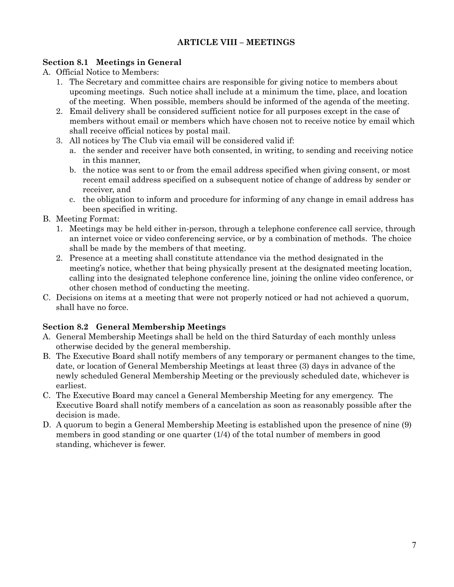# **ARTICLE VIII – MEETINGS**

## **Section 8.1 Meetings in General**

- A. Official Notice to Members:
	- 1. The Secretary and committee chairs are responsible for giving notice to members about upcoming meetings. Such notice shall include at a minimum the time, place, and location of the meeting. When possible, members should be informed of the agenda of the meeting.
	- 2. Email delivery shall be considered sufficient notice for all purposes except in the case of members without email or members which have chosen not to receive notice by email which shall receive official notices by postal mail.
	- 3. All notices by The Club via email will be considered valid if:
		- a. the sender and receiver have both consented, in writing, to sending and receiving notice in this manner,
		- b. the notice was sent to or from the email address specified when giving consent, or most recent email address specified on a subsequent notice of change of address by sender or receiver, and
		- c. the obligation to inform and procedure for informing of any change in email address has been specified in writing.

#### B. Meeting Format:

- 1. Meetings may be held either in-person, through a telephone conference call service, through an internet voice or video conferencing service, or by a combination of methods. The choice shall be made by the members of that meeting.
- 2. Presence at a meeting shall constitute attendance via the method designated in the meeting's notice, whether that being physically present at the designated meeting location, calling into the designated telephone conference line, joining the online video conference, or other chosen method of conducting the meeting.
- C. Decisions on items at a meeting that were not properly noticed or had not achieved a quorum, shall have no force.

## **Section 8.2 General Membership Meetings**

- A. General Membership Meetings shall be held on the third Saturday of each monthly unless otherwise decided by the general membership.
- B. The Executive Board shall notify members of any temporary or permanent changes to the time, date, or location of General Membership Meetings at least three (3) days in advance of the newly scheduled General Membership Meeting or the previously scheduled date, whichever is earliest.
- C. The Executive Board may cancel a General Membership Meeting for any emergency. The Executive Board shall notify members of a cancelation as soon as reasonably possible after the decision is made.
- D. A quorum to begin a General Membership Meeting is established upon the presence of nine (9) members in good standing or one quarter (1/4) of the total number of members in good standing, whichever is fewer.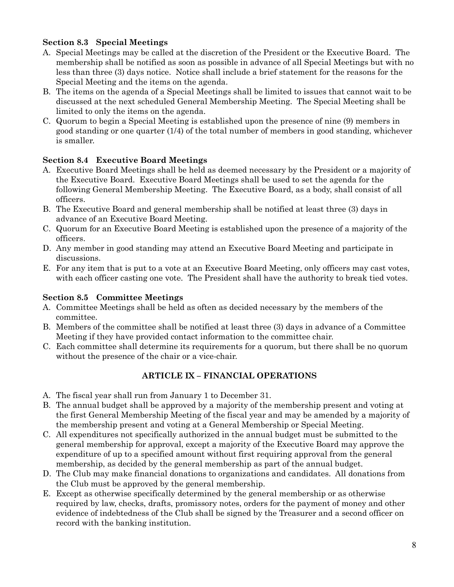# **Section 8.3 Special Meetings**

- A. Special Meetings may be called at the discretion of the President or the Executive Board. The membership shall be notified as soon as possible in advance of all Special Meetings but with no less than three (3) days notice. Notice shall include a brief statement for the reasons for the Special Meeting and the items on the agenda.
- B. The items on the agenda of a Special Meetings shall be limited to issues that cannot wait to be discussed at the next scheduled General Membership Meeting. The Special Meeting shall be limited to only the items on the agenda.
- C. Quorum to begin a Special Meeting is established upon the presence of nine (9) members in good standing or one quarter (1/4) of the total number of members in good standing, whichever is smaller.

## **Section 8.4 Executive Board Meetings**

- A. Executive Board Meetings shall be held as deemed necessary by the President or a majority of the Executive Board. Executive Board Meetings shall be used to set the agenda for the following General Membership Meeting. The Executive Board, as a body, shall consist of all officers.
- B. The Executive Board and general membership shall be notified at least three (3) days in advance of an Executive Board Meeting.
- C. Quorum for an Executive Board Meeting is established upon the presence of a majority of the officers.
- D. Any member in good standing may attend an Executive Board Meeting and participate in discussions.
- E. For any item that is put to a vote at an Executive Board Meeting, only officers may cast votes, with each officer casting one vote. The President shall have the authority to break tied votes.

## **Section 8.5 Committee Meetings**

- A. Committee Meetings shall be held as often as decided necessary by the members of the committee.
- B. Members of the committee shall be notified at least three (3) days in advance of a Committee Meeting if they have provided contact information to the committee chair.
- C. Each committee shall determine its requirements for a quorum, but there shall be no quorum without the presence of the chair or a vice-chair.

# **ARTICLE IX – FINANCIAL OPERATIONS**

- A. The fiscal year shall run from January 1 to December 31.
- B. The annual budget shall be approved by a majority of the membership present and voting at the first General Membership Meeting of the fiscal year and may be amended by a majority of the membership present and voting at a General Membership or Special Meeting.
- C. All expenditures not specifically authorized in the annual budget must be submitted to the general membership for approval, except a majority of the Executive Board may approve the expenditure of up to a specified amount without first requiring approval from the general membership, as decided by the general membership as part of the annual budget.
- D. The Club may make financial donations to organizations and candidates. All donations from the Club must be approved by the general membership.
- E. Except as otherwise specifically determined by the general membership or as otherwise required by law, checks, drafts, promissory notes, orders for the payment of money and other evidence of indebtedness of the Club shall be signed by the Treasurer and a second officer on record with the banking institution.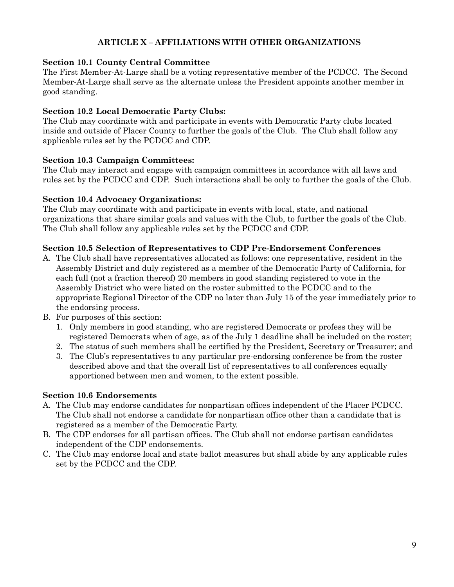# **ARTICLE X – AFFILIATIONS WITH OTHER ORGANIZATIONS**

## **Section 10.1 County Central Committee**

The First Member-At-Large shall be a voting representative member of the PCDCC. The Second Member-At-Large shall serve as the alternate unless the President appoints another member in good standing.

## **Section 10.2 Local Democratic Party Clubs:**

The Club may coordinate with and participate in events with Democratic Party clubs located inside and outside of Placer County to further the goals of the Club. The Club shall follow any applicable rules set by the PCDCC and CDP.

### **Section 10.3 Campaign Committees:**

The Club may interact and engage with campaign committees in accordance with all laws and rules set by the PCDCC and CDP. Such interactions shall be only to further the goals of the Club.

### **Section 10.4 Advocacy Organizations:**

The Club may coordinate with and participate in events with local, state, and national organizations that share similar goals and values with the Club, to further the goals of the Club. The Club shall follow any applicable rules set by the PCDCC and CDP.

## **Section 10.5 Selection of Representatives to CDP Pre-Endorsement Conferences**

- A. The Club shall have representatives allocated as follows: one representative, resident in the Assembly District and duly registered as a member of the Democratic Party of California, for each full (not a fraction thereof) 20 members in good standing registered to vote in the Assembly District who were listed on the roster submitted to the PCDCC and to the appropriate Regional Director of the CDP no later than July 15 of the year immediately prior to the endorsing process.
- B. For purposes of this section:
	- 1. Only members in good standing, who are registered Democrats or profess they will be registered Democrats when of age, as of the July 1 deadline shall be included on the roster;
	- 2. The status of such members shall be certified by the President, Secretary or Treasurer; and
	- 3. The Club's representatives to any particular pre-endorsing conference be from the roster described above and that the overall list of representatives to all conferences equally apportioned between men and women, to the extent possible.

#### **Section 10.6 Endorsements**

- A. The Club may endorse candidates for nonpartisan offices independent of the Placer PCDCC. The Club shall not endorse a candidate for nonpartisan office other than a candidate that is registered as a member of the Democratic Party.
- B. The CDP endorses for all partisan offices. The Club shall not endorse partisan candidates independent of the CDP endorsements.
- C. The Club may endorse local and state ballot measures but shall abide by any applicable rules set by the PCDCC and the CDP.